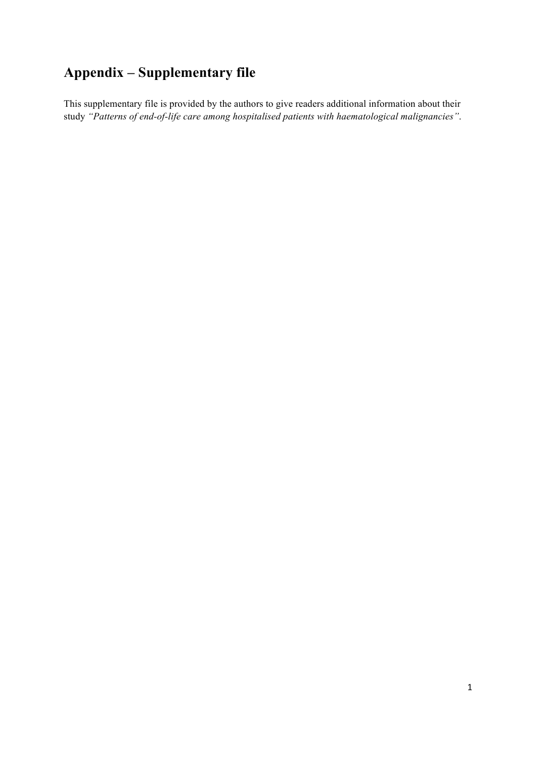## **Appendix – Supplementary file**

This supplementary file is provided by the authors to give readers additional information about their study *"Patterns of end-of-life care among hospitalised patients with haematological malignancies"*.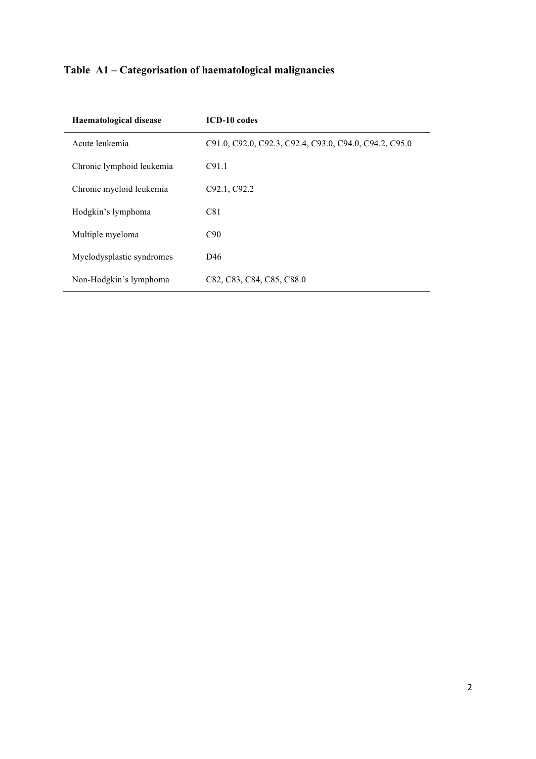## **Table A1 – Categorisation of haematological malignancies**

| <b>Haematological disease</b> | <b>ICD-10</b> codes                                    |
|-------------------------------|--------------------------------------------------------|
| Acute leukemia                | C91.0, C92.0, C92.3, C92.4, C93.0, C94.0, C94.2, C95.0 |
| Chronic lymphoid leukemia     | C91.1                                                  |
| Chronic myeloid leukemia      | C92.1, C92.2                                           |
| Hodgkin's lymphoma            | C81                                                    |
| Multiple myeloma              | C90                                                    |
| Myelodysplastic syndromes     | D46                                                    |
| Non-Hodgkin's lymphoma        | C82, C83, C84, C85, C88.0                              |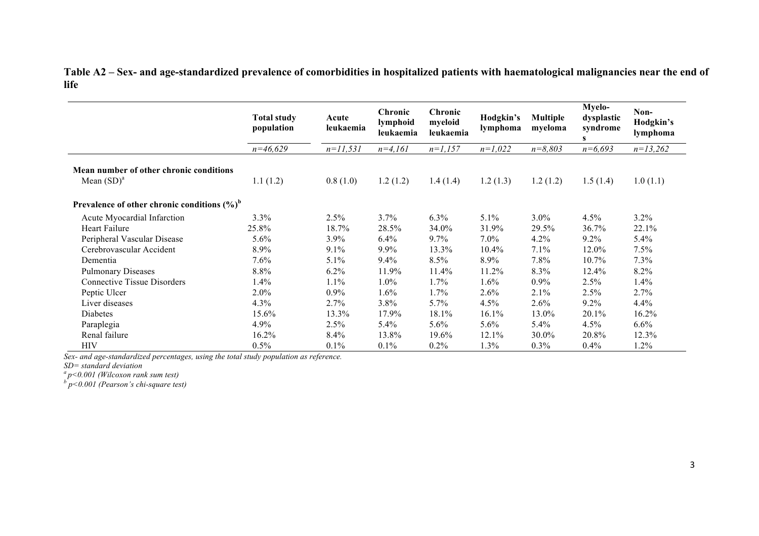**Table A2 – Sex- and age-standardized prevalence of comorbidities in hospitalized patients with haematological malignancies near the end of life**

|                                                 | <b>Total study</b><br>population | Acute<br>leukaemia | Chronic<br>lymphoid<br>leukaemia | Chronic<br>myeloid<br>leukaemia | Hodgkin's<br>lymphoma | <b>Multiple</b><br>myeloma | Myelo-<br>dysplastic<br>syndrome<br>s | Non-<br>Hodgkin's<br>lymphoma |
|-------------------------------------------------|----------------------------------|--------------------|----------------------------------|---------------------------------|-----------------------|----------------------------|---------------------------------------|-------------------------------|
|                                                 | $n=46,629$                       | $n=11,531$         | $n=4,161$                        | $n=1,157$                       | $n=1,022$             | $n = 8,803$                | $n=6,693$                             | $n=13,262$                    |
| Mean number of other chronic conditions         |                                  |                    |                                  |                                 |                       |                            |                                       |                               |
| Mean $(SD)^a$                                   | 1.1(1.2)                         | 0.8(1.0)           | 1.2(1.2)                         | 1.4(1.4)                        | 1.2(1.3)              | 1.2(1.2)                   | 1.5(1.4)                              | 1.0(1.1)                      |
| Prevalence of other chronic conditions $(\%)^b$ |                                  |                    |                                  |                                 |                       |                            |                                       |                               |
| Acute Myocardial Infarction                     | 3.3%                             | 2.5%               | 3.7%                             | $6.3\%$                         | $5.1\%$               | $3.0\%$                    | 4.5%                                  | 3.2%                          |
| <b>Heart Failure</b>                            | 25.8%                            | 18.7%              | 28.5%                            | 34.0%                           | 31.9%                 | 29.5%                      | 36.7%                                 | 22.1%                         |
| Peripheral Vascular Disease                     | 5.6%                             | $3.9\%$            | 6.4%                             | 9.7%                            | $7.0\%$               | 4.2%                       | $9.2\%$                               | 5.4%                          |
| Cerebrovascular Accident                        | 8.9%                             | 9.1%               | 9.9%                             | 13.3%                           | $10.4\%$              | 7.1%                       | 12.0%                                 | 7.5%                          |
| Dementia                                        | 7.6%                             | 5.1%               | 9.4%                             | 8.5%                            | 8.9%                  | 7.8%                       | 10.7%                                 | 7.3%                          |
| <b>Pulmonary Diseases</b>                       | 8.8%                             | 6.2%               | 11.9%                            | 11.4%                           | 11.2%                 | 8.3%                       | 12.4%                                 | 8.2%                          |
| <b>Connective Tissue Disorders</b>              | 1.4%                             | 1.1%               | 1.0%                             | 1.7%                            | 1.6%                  | $0.9\%$                    | 2.5%                                  | 1.4%                          |
| Peptic Ulcer                                    | $2.0\%$                          | 0.9%               | $1.6\%$                          | $1.7\%$                         | 2.6%                  | 2.1%                       | 2.5%                                  | 2.7%                          |
| Liver diseases                                  | 4.3%                             | 2.7%               | 3.8%                             | 5.7%                            | 4.5%                  | 2.6%                       | $9.2\%$                               | 4.4%                          |
| Diabetes                                        | 15.6%                            | 13.3%              | 17.9%                            | 18.1%                           | 16.1%                 | 13.0%                      | 20.1%                                 | 16.2%                         |
| Paraplegia                                      | $4.9\%$                          | 2.5%               | $5.4\%$                          | $5.6\%$                         | 5.6%                  | $5.4\%$                    | 4.5%                                  | $6.6\%$                       |
| Renal failure                                   | 16.2%                            | 8.4%               | 13.8%                            | 19.6%                           | 12.1%                 | 30.0%                      | 20.8%                                 | 12.3%                         |
| <b>HIV</b>                                      | 0.5%                             | 0.1%               | 0.1%                             | $0.2\%$                         | 1.3%                  | 0.3%                       | $0.4\%$                               | 1.2%                          |

*Sex- and age-standardized percentages, using the total study population as reference.*

*SD= standard deviation*

*a p<0.001 (Wilcoxon rank sum test) <sup>b</sup> p<0.001 (Pearson's chi-square test)*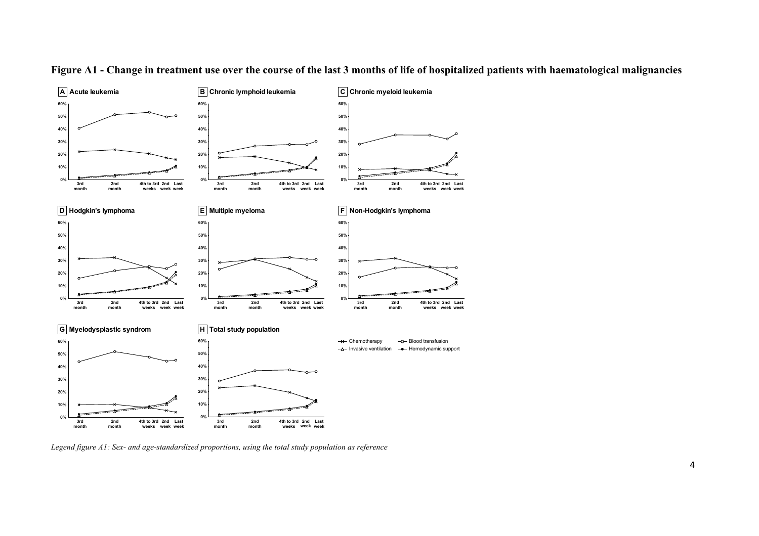

**Figure A1 - Change in treatment use over the course of the last 3 months of life of hospitalized patients with haematological malignancies**

*Legend figure A1: Sex- and age-standardized proportions, using the total study population as reference*